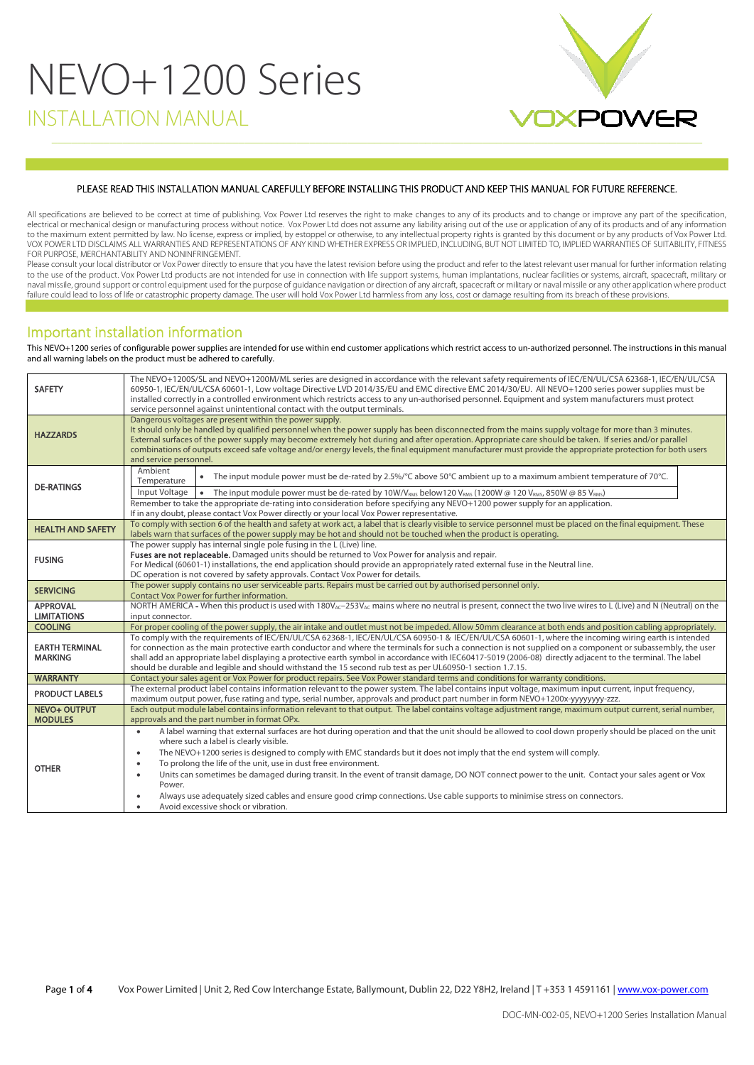# NEVO+1200 Series INSTALLATION MANUAL



#### PLEASE READ THIS INSTALLATION MANUAL CAREFULLY BEFORE INSTALLING THIS PRODUCT AND KEEP THIS MANUAL FOR FUTURE REFERENCE.

All specifications are believed to be correct at time of publishing. Vox Power Ltd reserves the right to make changes to any of its products and to change or improve any part of the specification, electrical or mechanical design or manufacturing process without notice. Vox Power Ltd does not assume any liability arising out of the use or application of any of its products and of any information<br>to the maximum extent VOX POWER LTD DISCLAIMS ALL WARRANTIES AND REPRESENTATIONS OF ANY KIND WHETHER EXPRESS OR IMPLIED, INCLUDING, BUT NOT LIMITED TO, IMPLIED WARRANTIES OF SUITABILITY, FITNESS FOR PURPOSE, MERCHANTABILITY AND NONINFRINGEMENT.

Please consult your local distributor or Vox Power directly to ensure that you have the latest revision before using the product and refer to the latest relevant user manual for further information relating to the use of the product. Vox Power Ltd products are not intended for use in connection with life support systems, human implantations, nuclear facilities or systems, aircraft, spacecraft, military or<br>naval missile, groun failure could lead to loss of life or catastrophic property damage. The user will hold Vox Power Ltd harmless from any loss, cost or damage resulting from its breach of these provisions.

## Important installation information

This NEVO+1200 series of configurable power supplies are intended for use within end customer applications which restrict access to un-authorized personnel. The instructions in this manual and all warning labels on the product must be adhered to carefully.

| <b>SAFETY</b>                           | The NEVO+1200S/SL and NEVO+1200M/ML series are designed in accordance with the relevant safety requirements of IEC/EN/UL/CSA 62368-1, IEC/EN/UL/CSA<br>60950-1. IEC/EN/UL/CSA 60601-1. Low voltage Directive LVD 2014/35/EU and EMC directive EMC 2014/30/EU. All NEVO+1200 series power supplies must be<br>installed correctly in a controlled environment which restricts access to any un-authorised personnel. Equipment and system manufacturers must protect<br>service personnel against unintentional contact with the output terminals.                                                                                                                                                                                                                                 |
|-----------------------------------------|-----------------------------------------------------------------------------------------------------------------------------------------------------------------------------------------------------------------------------------------------------------------------------------------------------------------------------------------------------------------------------------------------------------------------------------------------------------------------------------------------------------------------------------------------------------------------------------------------------------------------------------------------------------------------------------------------------------------------------------------------------------------------------------|
| <b>HAZZARDS</b>                         | Dangerous voltages are present within the power supply.<br>It should only be handled by qualified personnel when the power supply has been disconnected from the mains supply voltage for more than 3 minutes.<br>External surfaces of the power supply may become extremely hot during and after operation. Appropriate care should be taken. If series and/or parallel<br>combinations of outputs exceed safe voltage and/or energy levels, the final equipment manufacturer must provide the appropriate protection for both users<br>and service personnel.                                                                                                                                                                                                                   |
| <b>DE-RATINGS</b>                       | Ambient<br>• The input module power must be de-rated by 2.5%/°C above 50°C ambient up to a maximum ambient temperature of 70°C.<br>Temperature<br>Input Voltage   • The input module power must be de-rated by 10W/V <sub>RMS</sub> below120 V <sub>RMS</sub> (1200W @ 120 V <sub>RMS</sub> , 850W @ 85 V <sub>RMS</sub> )<br>Remember to take the appropriate de-rating into consideration before specifying any NEVO+1200 power supply for an application.<br>If in any doubt, please contact Vox Power directly or your local Vox Power representative.                                                                                                                                                                                                                        |
| <b>HEALTH AND SAFETY</b>                | To comply with section 6 of the health and safety at work act, a label that is clearly visible to service personnel must be placed on the final equipment. These<br>labels warn that surfaces of the power supply may be hot and should not be touched when the product is operating.                                                                                                                                                                                                                                                                                                                                                                                                                                                                                             |
| <b>FUSING</b>                           | The power supply has internal single pole fusing in the L (Live) line.<br>Fuses are not replaceable. Damaged units should be returned to Vox Power for analysis and repair.<br>For Medical (60601-1) installations, the end application should provide an appropriately rated external fuse in the Neutral line.<br>DC operation is not covered by safety approvals. Contact Vox Power for details.                                                                                                                                                                                                                                                                                                                                                                               |
| <b>SERVICING</b>                        | The power supply contains no user serviceable parts. Repairs must be carried out by authorised personnel only.<br>Contact Vox Power for further information.                                                                                                                                                                                                                                                                                                                                                                                                                                                                                                                                                                                                                      |
| <b>APPROVAL</b><br><b>LIMITATIONS</b>   | NORTH AMERICA - When this product is used with 180V <sub>AC</sub> -253V <sub>AC</sub> mains where no neutral is present, connect the two live wires to L (Live) and N (Neutral) on the<br>input connector.                                                                                                                                                                                                                                                                                                                                                                                                                                                                                                                                                                        |
| <b>COOLING</b>                          | For proper cooling of the power supply, the air intake and outlet must not be impeded. Allow 50mm clearance at both ends and position cabling appropriately.                                                                                                                                                                                                                                                                                                                                                                                                                                                                                                                                                                                                                      |
| <b>EARTH TERMINAL</b><br><b>MARKING</b> | To comply with the requirements of IEC/EN/UL/CSA 62368-1, IEC/EN/UL/CSA 60950-1 & IEC/EN/UL/CSA 60601-1, where the incoming wiring earth is intended<br>for connection as the main protective earth conductor and where the terminals for such a connection is not supplied on a component or subassembly, the user<br>shall add an appropriate label displaying a protective earth symbol in accordance with IEC60417-5019 (2006-08) directly adjacent to the terminal. The label<br>should be durable and legible and should withstand the 15 second rub test as per UL60950-1 section 1.7.15.                                                                                                                                                                                  |
| <b>WARRANTY</b>                         | Contact your sales agent or Vox Power for product repairs. See Vox Power standard terms and conditions for warranty conditions.                                                                                                                                                                                                                                                                                                                                                                                                                                                                                                                                                                                                                                                   |
| <b>PRODUCT LABELS</b>                   | The external product label contains information relevant to the power system. The label contains input voltage, maximum input current, input frequency,<br>maximum output power, fuse rating and type, serial number, approvals and product part number in form NEVO+1200x-yyyyyyyy-zzz.                                                                                                                                                                                                                                                                                                                                                                                                                                                                                          |
| <b>NEVO+ OUTPUT</b><br><b>MODULES</b>   | Each output module label contains information relevant to that output. The label contains voltage adjustment range, maximum output current, serial number,<br>approvals and the part number in format OPx.                                                                                                                                                                                                                                                                                                                                                                                                                                                                                                                                                                        |
| <b>OTHER</b>                            | A label warning that external surfaces are hot during operation and that the unit should be allowed to cool down properly should be placed on the unit<br>$\bullet$<br>where such a label is clearly visible.<br>The NEVO+1200 series is designed to comply with EMC standards but it does not imply that the end system will comply.<br>$\bullet$<br>To prolong the life of the unit, use in dust free environment.<br>$\bullet$<br>Units can sometimes be damaged during transit. In the event of transit damage, DO NOT connect power to the unit. Contact your sales agent or Vox<br>Power.<br>Always use adequately sized cables and ensure good crimp connections. Use cable supports to minimise stress on connectors.<br>Avoid excessive shock or vibration.<br>$\bullet$ |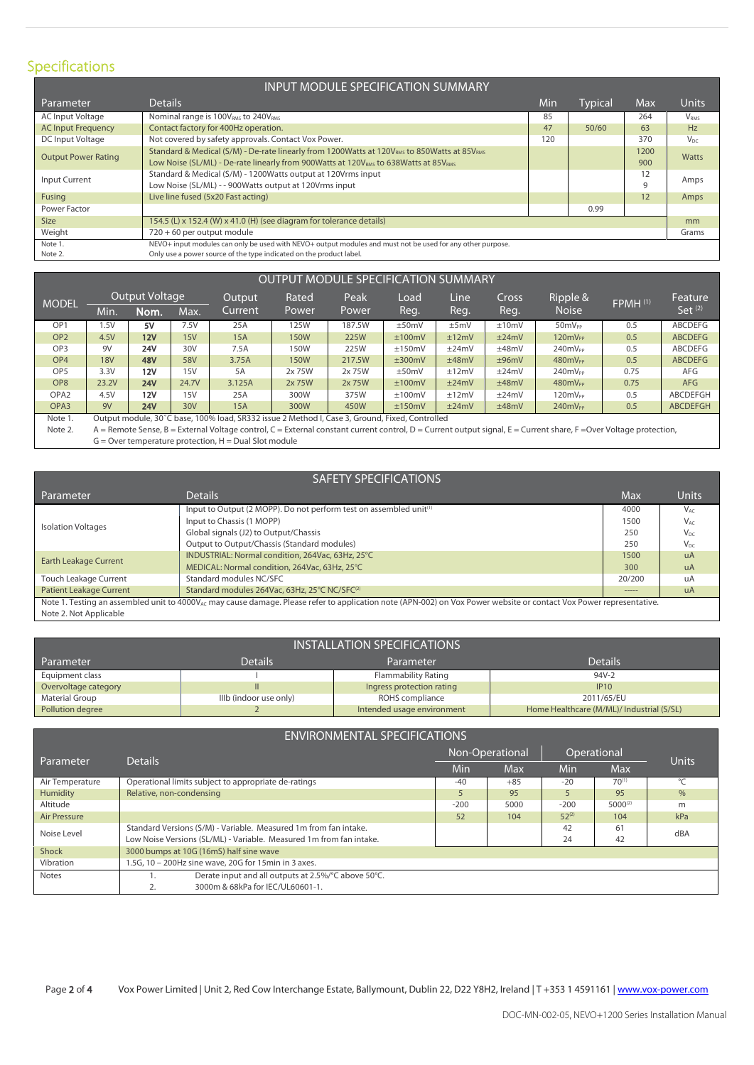# Specifications

|                            | <b>INPUT MODULE SPECIFICATION SUMMARY</b>                                                                           |     |         |      |                  |
|----------------------------|---------------------------------------------------------------------------------------------------------------------|-----|---------|------|------------------|
| Parameter                  | <b>Details</b>                                                                                                      | Min | Typical | Max  | Units            |
| AC Input Voltage           | Nominal range is 100V <sub>RMS</sub> to 240V <sub>RMS</sub>                                                         | 85  |         | 264  | V <sub>RMS</sub> |
| <b>AC Input Frequency</b>  | Contact factory for 400Hz operation.                                                                                | 47  | 50/60   | 63   | Hz               |
| DC Input Voltage           | Not covered by safety approvals. Contact Vox Power.                                                                 | 120 |         | 370  | $V_{\text{DC}}$  |
| <b>Output Power Rating</b> | Standard & Medical (S/M) - De-rate linearly from 1200Watts at 120V <sub>RMS</sub> to 850Watts at 85V <sub>RMS</sub> |     |         | 1200 | <b>Watts</b>     |
|                            | Low Noise (SL/ML) - De-rate linearly from 900Watts at 120V <sub>RMS</sub> to 638Watts at 85V <sub>RMS</sub>         |     |         | 900  |                  |
| Input Current              | Standard & Medical (S/M) - 1200Watts output at 120Vrms input                                                        |     |         | 12   | Amps             |
|                            | Low Noise (SL/ML) - - 900Watts output at 120Vrms input                                                              |     |         | 9    |                  |
| Fusing                     | Live line fused (5x20 Fast acting)                                                                                  |     |         | 12   | Amps             |
| Power Factor               |                                                                                                                     |     | 0.99    |      |                  |
| <b>Size</b>                | 154.5 (L) x 152.4 (W) x 41.0 (H) (see diagram for tolerance details)                                                |     |         |      | mm               |
| Weight                     | 720 + 60 per output module                                                                                          |     |         |      | Grams            |
| Note 1.                    | NEVO+ input modules can only be used with NEVO+ output modules and must not be used for any other purpose.          |     |         |      |                  |
| Note 2.                    | Only use a power source of the type indicated on the product label.                                                 |     |         |      |                  |

|                  | OUTPUT MODULE SPECIFICATION SUMMARY<br>Output Voltage<br>Ripple &<br>Peak<br>Line<br>Output<br>Cross<br>Rated<br>Load<br>Feature<br>FPMH(1)<br><b>MODEL</b><br>Set $(2)$<br><b>Noise</b><br>'Reg.<br>Reg.<br>Current<br>Reg.<br>Power<br>Power<br>Nom.<br>Max.<br>Min.<br><b>ABCDEFG</b><br>OP <sub>1</sub><br>7.5V<br>187.5W<br>5V<br>±10mV<br>50mV <sub>PP</sub><br>1.5V<br>25A<br>125W<br>±50mV<br>0.5<br>±5mV |            |       |                                                                                                |             |        |        |       |       |                                                                                                                                                               |      |                 |
|------------------|-------------------------------------------------------------------------------------------------------------------------------------------------------------------------------------------------------------------------------------------------------------------------------------------------------------------------------------------------------------------------------------------------------------------|------------|-------|------------------------------------------------------------------------------------------------|-------------|--------|--------|-------|-------|---------------------------------------------------------------------------------------------------------------------------------------------------------------|------|-----------------|
|                  |                                                                                                                                                                                                                                                                                                                                                                                                                   |            |       |                                                                                                |             |        |        |       |       |                                                                                                                                                               |      |                 |
|                  |                                                                                                                                                                                                                                                                                                                                                                                                                   |            |       |                                                                                                |             |        |        |       |       |                                                                                                                                                               |      |                 |
|                  |                                                                                                                                                                                                                                                                                                                                                                                                                   |            |       |                                                                                                |             |        |        |       |       |                                                                                                                                                               |      |                 |
| OP <sub>2</sub>  | 4.5V                                                                                                                                                                                                                                                                                                                                                                                                              | 12V        | 15V   | <b>15A</b>                                                                                     | <b>150W</b> | 225W   | ±100mV | ±12mV | ±24mV | $120mV_{PP}$                                                                                                                                                  | 0.5  | <b>ABCDEFG</b>  |
| OP <sub>3</sub>  | 9V                                                                                                                                                                                                                                                                                                                                                                                                                | <b>24V</b> | 30V   | 7.5A                                                                                           | 150W        | 225W   | ±150mV | ±24mV | ±48mV | $240mV_{PP}$                                                                                                                                                  | 0.5  | ABCDEFG         |
| OP <sub>4</sub>  | <b>18V</b>                                                                                                                                                                                                                                                                                                                                                                                                        | <b>48V</b> | 58V   | 3.75A                                                                                          | <b>150W</b> | 217.5W | ±300mV | ±48mV | ±96mV | $480mV_{PP}$                                                                                                                                                  | 0.5  | <b>ABCDEFG</b>  |
| OP <sub>5</sub>  | 3.3V                                                                                                                                                                                                                                                                                                                                                                                                              | 12V        | 15V   | 5A                                                                                             | 2x 75W      | 2x 75W | ±50mV  | ±12mV | ±24mV | 240mV <sub>PP</sub>                                                                                                                                           | 0.75 | AFG             |
| OP <sub>8</sub>  | 23.2V                                                                                                                                                                                                                                                                                                                                                                                                             | 24V        | 24.7V | 3.125A                                                                                         | 2x 75W      | 2x 75W | ±100mV | ±24mV | ±48mV | $480mV_{PP}$                                                                                                                                                  | 0.75 | <b>AFG</b>      |
| OPA <sub>2</sub> | 4.5V                                                                                                                                                                                                                                                                                                                                                                                                              | 12V        | 15V   | 25A                                                                                            | 300W        | 375W   | ±100mV | ±12mV | ±24mV | 120mV <sub>PP</sub>                                                                                                                                           | 0.5  | <b>ABCDEFGH</b> |
| OPA <sub>3</sub> | 9V                                                                                                                                                                                                                                                                                                                                                                                                                | <b>24V</b> | 30V   | <b>15A</b>                                                                                     | 300W        | 450W   | ±150mV | ±24mV | ±48mV | 240mV <sub>PP</sub>                                                                                                                                           | 0.5  | <b>ABCDEFGH</b> |
| Note 1.          |                                                                                                                                                                                                                                                                                                                                                                                                                   |            |       | Output module, 30°C base, 100% load, SR332 issue 2 Method I, Case 3, Ground, Fixed, Controlled |             |        |        |       |       |                                                                                                                                                               |      |                 |
| Note 2           |                                                                                                                                                                                                                                                                                                                                                                                                                   |            |       |                                                                                                |             |        |        |       |       | 4 - Remote Sense, R - External Voltage control C - External constant current control D - Current output signal E - Current share. E - Quer Voltage protection |      |                 |

OUTPUT MODULE SPECIFICATION SUMMARY

Note 2. A = Remote Sense, B = External Voltage control, C = External constant current control, D = Current output signal, E = Current share, F = Over Voltage protection, G = Over temperature protection, H = Dual Slot module

|                                | <b>SAFETY SPECIFICATIONS</b>                                                                                                                                                    |            |                                                                   |
|--------------------------------|---------------------------------------------------------------------------------------------------------------------------------------------------------------------------------|------------|-------------------------------------------------------------------|
| Parameter                      | <b>Details</b>                                                                                                                                                                  | <b>Max</b> | <b>Units</b>                                                      |
|                                | Input to Output (2 MOPP). Do not perform test on assembled unit <sup>(1)</sup>                                                                                                  | 4000       | $V_{AC}$                                                          |
| <b>Isolation Voltages</b>      | Input to Chassis (1 MOPP)                                                                                                                                                       | 1500       | $V_{AC}$                                                          |
|                                | Global signals (J2) to Output/Chassis                                                                                                                                           | 250        | $V_{DC}$<br>$V_{DC}$<br><b>uA</b><br><b>uA</b><br>uA<br><b>uA</b> |
|                                | Output to Output/Chassis (Standard modules)                                                                                                                                     | 250        |                                                                   |
| <b>Earth Leakage Current</b>   | INDUSTRIAL: Normal condition, 264Vac, 63Hz, 25°C                                                                                                                                | 1500       |                                                                   |
|                                | MEDICAL: Normal condition, 264Vac, 63Hz, 25°C                                                                                                                                   | 300        |                                                                   |
| <b>Touch Leakage Current</b>   | Standard modules NC/SFC                                                                                                                                                         | 20/200     |                                                                   |
| <b>Patient Leakage Current</b> | Standard modules 264Vac, 63Hz, 25°C NC/SFC <sup>(2)</sup>                                                                                                                       | ------     |                                                                   |
|                                | Note 1. Testing an assembled unit to 4000V <sub>AC</sub> may cause damage. Please refer to application note (APN-002) on Vox Power website or contact Vox Power representative. |            |                                                                   |
| Note 2. Not Applicable         |                                                                                                                                                                                 |            |                                                                   |

|                      |                        | INSTALLATION SPECIFICATIONS |                                           |
|----------------------|------------------------|-----------------------------|-------------------------------------------|
| Parameter            | <b>Details</b>         | Parameter                   | <b>Details</b>                            |
| Equipment class      |                        | Flammability Rating         | 94V-2                                     |
| Overvoltage category |                        | Ingress protection rating   | IP10                                      |
| Material Group       | IIIb (indoor use only) | ROHS compliance             | 2011/65/EU                                |
| Pollution degree     |                        | Intended usage environment  | Home Healthcare (M/ML)/ Industrial (S/SL) |

| <b>ENVIRONMENTAL SPECIFICATIONS</b> |                                                                     |        |                 |             |              |           |  |  |  |  |
|-------------------------------------|---------------------------------------------------------------------|--------|-----------------|-------------|--------------|-----------|--|--|--|--|
|                                     | <b>Details</b>                                                      |        | Non-Operational | Operational | <b>Units</b> |           |  |  |  |  |
| Parameter                           |                                                                     | Min    | <b>Max</b>      | Min         | Max          |           |  |  |  |  |
| Air Temperature                     | Operational limits subject to appropriate de-ratings                | $-40$  | $+85$           | $-20$       | $70^{(1)}$   | $\circ$ C |  |  |  |  |
| Humidity                            | Relative, non-condensing                                            |        | 95              |             | 95           | $\%$      |  |  |  |  |
| Altitude                            |                                                                     | $-200$ | 5000            | $-200$      | $5000^{(2)}$ | m         |  |  |  |  |
| Air Pressure                        |                                                                     | 52     | 104             | $52^{(2)}$  | 104          | kPa       |  |  |  |  |
| Noise Level                         | Standard Versions (S/M) - Variable. Measured 1m from fan intake.    |        |                 | 42          | 61           | dBA       |  |  |  |  |
|                                     | Low Noise Versions (SL/ML) - Variable. Measured 1m from fan intake. |        |                 | 24          | 42           |           |  |  |  |  |
| Shock                               | 3000 bumps at 10G (16mS) half sine wave                             |        |                 |             |              |           |  |  |  |  |
| Vibration                           | 1.5G, 10 - 200Hz sine wave, 20G for 15min in 3 axes.                |        |                 |             |              |           |  |  |  |  |
| <b>Notes</b>                        | Derate input and all outputs at 2.5%/°C above 50°C.                 |        |                 |             |              |           |  |  |  |  |
|                                     | 3000m & 68kPa for IEC/UL60601-1.<br>2.                              |        |                 |             |              |           |  |  |  |  |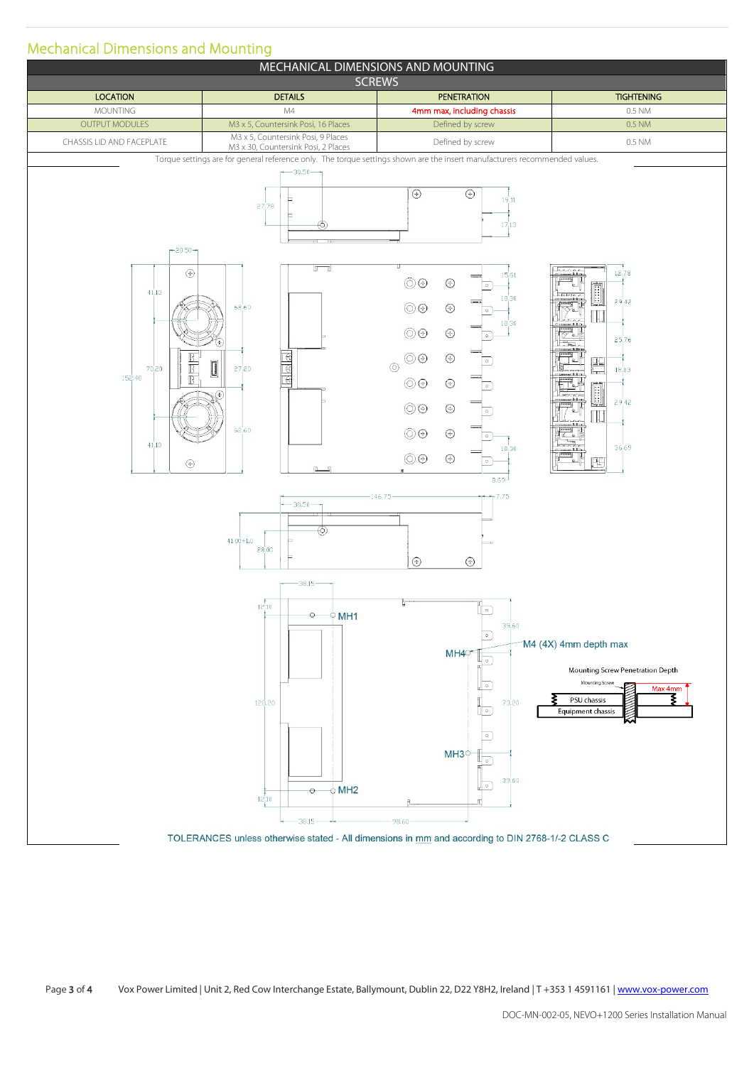## Mechanical Dimensions and Mounting